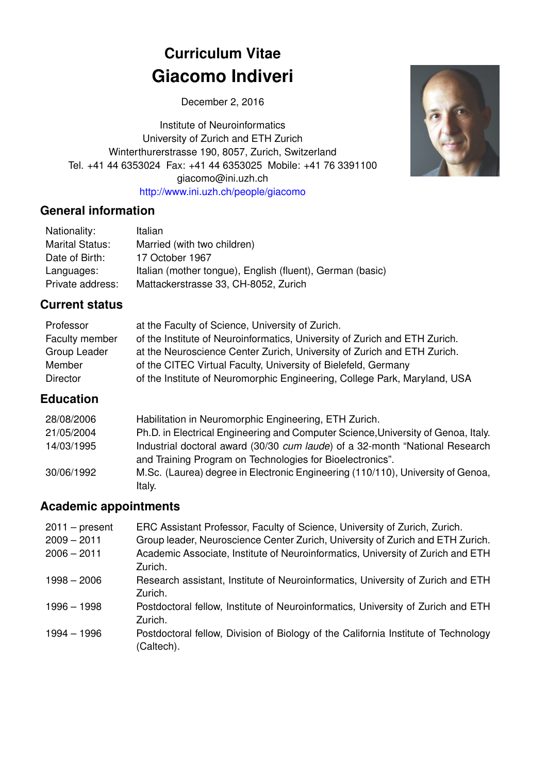# **Curriculum Vitae Giacomo Indiveri**

December 2, 2016

Institute of Neuroinformatics University of Zurich and ETH Zurich Winterthurerstrasse 190, 8057, Zurich, Switzerland Tel. +41 44 6353024 Fax: +41 44 6353025 Mobile: +41 76 3391100 giacomo@ini.uzh.ch <http://www.ini.uzh.ch/people/giacomo>

#### **General information**

| Nationality:           | Italian                                                   |
|------------------------|-----------------------------------------------------------|
| <b>Marital Status:</b> | Married (with two children)                               |
| Date of Birth:         | 17 October 1967                                           |
| Languages:             | Italian (mother tongue), English (fluent), German (basic) |
| Private address:       | Mattackerstrasse 33, CH-8052, Zurich                      |

### **Current status**

| Professor      | at the Faculty of Science, University of Zurich.                           |
|----------------|----------------------------------------------------------------------------|
| Faculty member | of the Institute of Neuroinformatics, University of Zurich and ETH Zurich. |
| Group Leader   | at the Neuroscience Center Zurich, University of Zurich and ETH Zurich.    |
| Member         | of the CITEC Virtual Faculty, University of Bielefeld, Germany             |
| Director       | of the Institute of Neuromorphic Engineering, College Park, Maryland, USA  |

### **Education**

| 28/08/2006 | Habilitation in Neuromorphic Engineering, ETH Zurich.                                                                                     |
|------------|-------------------------------------------------------------------------------------------------------------------------------------------|
| 21/05/2004 | Ph.D. in Electrical Engineering and Computer Science, University of Genoa, Italy.                                                         |
| 14/03/1995 | Industrial doctoral award (30/30 cum laude) of a 32-month "National Research<br>and Training Program on Technologies for Bioelectronics". |
| 30/06/1992 | M.Sc. (Laurea) degree in Electronic Engineering (110/110), University of Genoa,<br>Italy.                                                 |

### **Academic appointments**

| $2011 - present$ | ERC Assistant Professor, Faculty of Science, University of Zurich, Zurich.                       |
|------------------|--------------------------------------------------------------------------------------------------|
| $2009 - 2011$    | Group leader, Neuroscience Center Zurich, University of Zurich and ETH Zurich.                   |
| $2006 - 2011$    | Academic Associate, Institute of Neuroinformatics, University of Zurich and ETH<br>Zurich.       |
| $1998 - 2006$    | Research assistant, Institute of Neuroinformatics, University of Zurich and ETH<br>Zurich.       |
| 1996 - 1998      | Postdoctoral fellow, Institute of Neuroinformatics, University of Zurich and ETH<br>Zurich.      |
| 1994 – 1996      | Postdoctoral fellow, Division of Biology of the California Institute of Technology<br>(Caltech). |

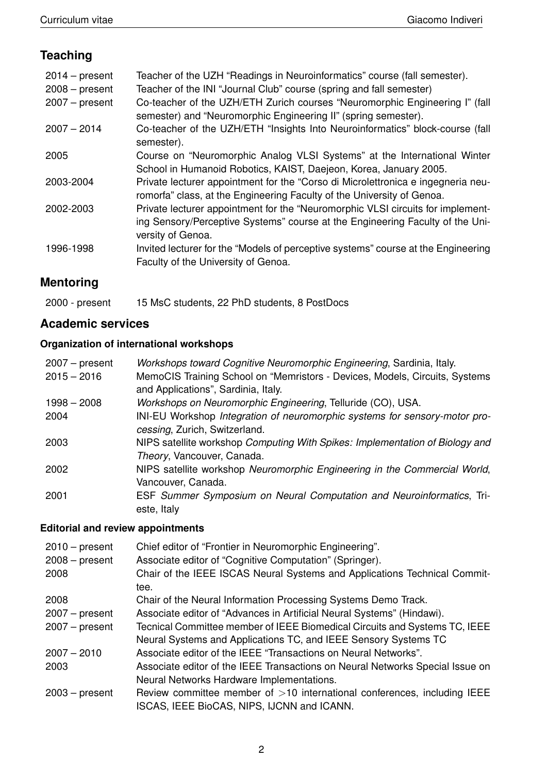## **Teaching**

| $2014 - present$<br>$2008 - present$<br>$2007 - present$ | Teacher of the UZH "Readings in Neuroinformatics" course (fall semester).<br>Teacher of the INI "Journal Club" course (spring and fall semester)<br>Co-teacher of the UZH/ETH Zurich courses "Neuromorphic Engineering I" (fall<br>semester) and "Neuromorphic Engineering II" (spring semester). |
|----------------------------------------------------------|---------------------------------------------------------------------------------------------------------------------------------------------------------------------------------------------------------------------------------------------------------------------------------------------------|
| $2007 - 2014$                                            | Co-teacher of the UZH/ETH "Insights Into Neuroinformatics" block-course (fall<br>semester).                                                                                                                                                                                                       |
| 2005                                                     | Course on "Neuromorphic Analog VLSI Systems" at the International Winter<br>School in Humanoid Robotics, KAIST, Daejeon, Korea, January 2005.                                                                                                                                                     |
| 2003-2004                                                | Private lecturer appointment for the "Corso di Microlettronica e ingegneria neu-<br>romorfa" class, at the Engineering Faculty of the University of Genoa.                                                                                                                                        |
| 2002-2003                                                | Private lecturer appointment for the "Neuromorphic VLSI circuits for implement-<br>ing Sensory/Perceptive Systems" course at the Engineering Faculty of the Uni-<br>versity of Genoa.                                                                                                             |
| 1996-1998                                                | Invited lecturer for the "Models of perceptive systems" course at the Engineering<br>Faculty of the University of Genoa.                                                                                                                                                                          |

# **Mentoring**

| 2000 - present |  | 15 MsC students, 22 PhD students, 8 PostDocs |  |
|----------------|--|----------------------------------------------|--|
|----------------|--|----------------------------------------------|--|

### **Academic services**

#### **Organization of international workshops**

| $2007 - present$ | Workshops toward Cognitive Neuromorphic Engineering, Sardinia, Italy.        |
|------------------|------------------------------------------------------------------------------|
| $2015 - 2016$    | MemoCIS Training School on "Memristors - Devices, Models, Circuits, Systems  |
|                  | and Applications", Sardinia, Italy.                                          |
| $1998 - 2008$    | Workshops on Neuromorphic Engineering, Telluride (CO), USA.                  |
| 2004             | INI-EU Workshop Integration of neuromorphic systems for sensory-motor pro-   |
|                  | cessing, Zurich, Switzerland.                                                |
| 2003             | NIPS satellite workshop Computing With Spikes: Implementation of Biology and |
|                  | Theory, Vancouver, Canada.                                                   |
| 2002             | NIPS satellite workshop Neuromorphic Engineering in the Commercial World,    |
|                  | Vancouver, Canada.                                                           |
| 2001             | ESF Summer Symposium on Neural Computation and Neuroinformatics, Tri-        |
|                  | este, Italy                                                                  |

#### **Editorial and review appointments**

| $2010$ – present<br>$2008 - present$ | Chief editor of "Frontier in Neuromorphic Engineering".<br>Associate editor of "Cognitive Computation" (Springer). |
|--------------------------------------|--------------------------------------------------------------------------------------------------------------------|
| 2008                                 | Chair of the IEEE ISCAS Neural Systems and Applications Technical Commit-<br>tee.                                  |
| 2008                                 | Chair of the Neural Information Processing Systems Demo Track.                                                     |
| $2007 - present$                     | Associate editor of "Advances in Artificial Neural Systems" (Hindawi).                                             |
| $2007 - present$                     | Tecnical Committee member of IEEE Biomedical Circuits and Systems TC, IEEE                                         |
|                                      | Neural Systems and Applications TC, and IEEE Sensory Systems TC                                                    |
| $2007 - 2010$                        | Associate editor of the IEEE "Transactions on Neural Networks".                                                    |
| 2003                                 | Associate editor of the IEEE Transactions on Neural Networks Special Issue on                                      |
|                                      | Neural Networks Hardware Implementations.                                                                          |
| $2003 - present$                     | Review committee member of $>10$ international conferences, including IEEE                                         |
|                                      | ISCAS, IEEE BioCAS, NIPS, IJCNN and ICANN.                                                                         |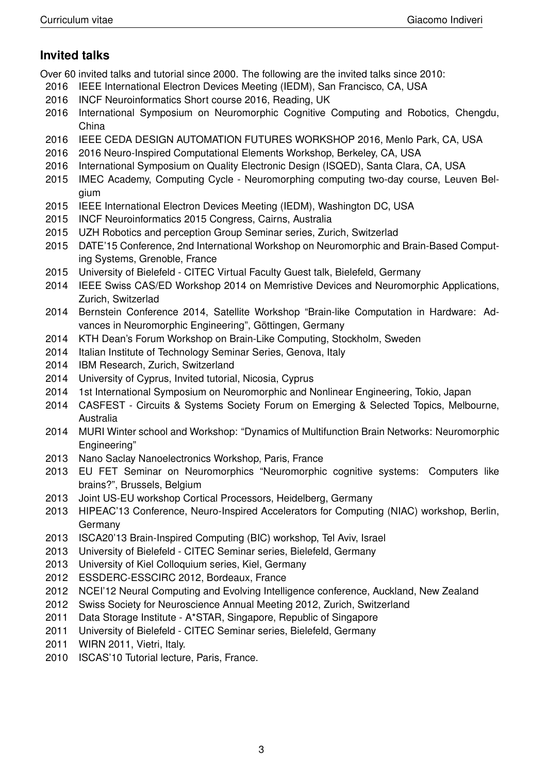### **Invited talks**

Over 60 invited talks and tutorial since 2000. The following are the invited talks since 2010:

- 2016 IEEE International Electron Devices Meeting (IEDM), San Francisco, CA, USA
- 2016 INCF Neuroinformatics Short course 2016, Reading, UK
- 2016 International Symposium on Neuromorphic Cognitive Computing and Robotics, Chengdu, China
- 2016 IEEE CEDA DESIGN AUTOMATION FUTURES WORKSHOP 2016, Menlo Park, CA, USA
- 2016 2016 Neuro-Inspired Computational Elements Workshop, Berkeley, CA, USA
- 2016 International Symposium on Quality Electronic Design (ISQED), Santa Clara, CA, USA
- 2015 IMEC Academy, Computing Cycle Neuromorphing computing two-day course, Leuven Belgium
- 2015 IEEE International Electron Devices Meeting (IEDM), Washington DC, USA
- 2015 INCF Neuroinformatics 2015 Congress, Cairns, Australia
- 2015 UZH Robotics and perception Group Seminar series, Zurich, Switzerlad
- 2015 DATE'15 Conference, 2nd International Workshop on Neuromorphic and Brain-Based Computing Systems, Grenoble, France
- 2015 University of Bielefeld CITEC Virtual Faculty Guest talk, Bielefeld, Germany
- 2014 IEEE Swiss CAS/ED Workshop 2014 on Memristive Devices and Neuromorphic Applications, Zurich, Switzerlad
- 2014 Bernstein Conference 2014, Satellite Workshop "Brain-like Computation in Hardware: Advances in Neuromorphic Engineering", Göttingen, Germany
- 2014 KTH Dean's Forum Workshop on Brain-Like Computing, Stockholm, Sweden
- 2014 Italian Institute of Technology Seminar Series, Genova, Italy
- 2014 IBM Research, Zurich, Switzerland
- 2014 University of Cyprus, Invited tutorial, Nicosia, Cyprus
- 2014 1st International Symposium on Neuromorphic and Nonlinear Engineering, Tokio, Japan
- 2014 CASFEST Circuits & Systems Society Forum on Emerging & Selected Topics, Melbourne, Australia
- 2014 MURI Winter school and Workshop: "Dynamics of Multifunction Brain Networks: Neuromorphic Engineering"
- 2013 Nano Saclay Nanoelectronics Workshop, Paris, France
- 2013 EU FET Seminar on Neuromorphics "Neuromorphic cognitive systems: Computers like brains?", Brussels, Belgium
- 2013 Joint US-EU workshop Cortical Processors, Heidelberg, Germany
- 2013 HIPEAC'13 Conference, Neuro-Inspired Accelerators for Computing (NIAC) workshop, Berlin, Germany
- 2013 ISCA20'13 Brain-Inspired Computing (BIC) workshop, Tel Aviv, Israel
- 2013 University of Bielefeld CITEC Seminar series, Bielefeld, Germany
- 2013 University of Kiel Colloquium series, Kiel, Germany
- 2012 ESSDERC-ESSCIRC 2012, Bordeaux, France
- 2012 NCEI'12 Neural Computing and Evolving Intelligence conference, Auckland, New Zealand
- 2012 Swiss Society for Neuroscience Annual Meeting 2012, Zurich, Switzerland
- 2011 Data Storage Institute A\*STAR, Singapore, Republic of Singapore
- 2011 University of Bielefeld CITEC Seminar series, Bielefeld, Germany
- 2011 WIRN 2011, Vietri, Italy.
- 2010 ISCAS'10 Tutorial lecture, Paris, France.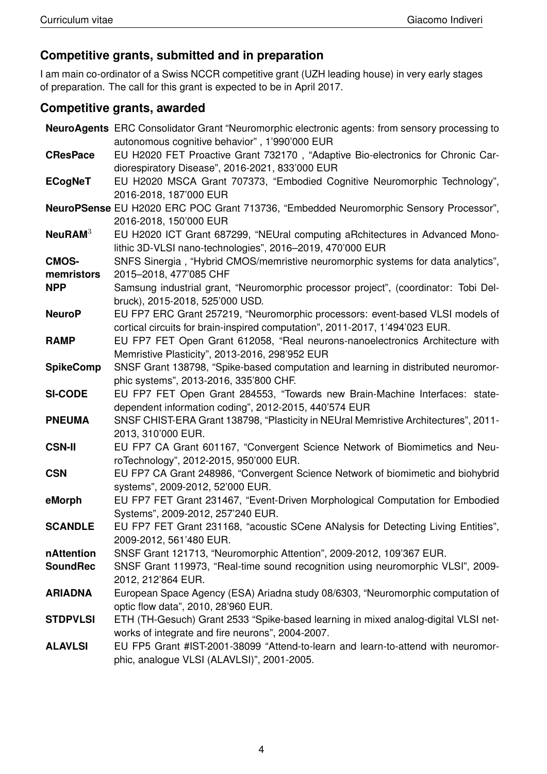### **Competitive grants, submitted and in preparation**

I am main co-ordinator of a Swiss NCCR competitive grant (UZH leading house) in very early stages of preparation. The call for this grant is expected to be in April 2017.

### **Competitive grants, awarded**

|                  | <b>NeuroAgents</b> ERC Consolidator Grant "Neuromorphic electronic agents: from sensory processing to                 |
|------------------|-----------------------------------------------------------------------------------------------------------------------|
|                  | autonomous cognitive behavior", 1'990'000 EUR                                                                         |
| <b>CResPace</b>  | EU H2020 FET Proactive Grant 732170, "Adaptive Bio-electronics for Chronic Car-                                       |
|                  | diorespiratory Disease", 2016-2021, 833'000 EUR                                                                       |
| <b>ECogNeT</b>   | EU H2020 MSCA Grant 707373, "Embodied Cognitive Neuromorphic Technology",                                             |
|                  | 2016-2018, 187'000 EUR                                                                                                |
|                  | NeuroPSense EU H2020 ERC POC Grant 713736, "Embedded Neuromorphic Sensory Processor",                                 |
|                  | 2016-2018, 150'000 EUR                                                                                                |
| $Neu$ RAM $3$    | EU H2020 ICT Grant 687299, "NEUral computing aRchitectures in Advanced Mono-                                          |
|                  | lithic 3D-VLSI nano-technologies", 2016-2019, 470'000 EUR                                                             |
| <b>CMOS-</b>     | SNFS Sinergia, "Hybrid CMOS/memristive neuromorphic systems for data analytics",                                      |
| memristors       | 2015-2018, 477'085 CHF                                                                                                |
| <b>NPP</b>       | Samsung industrial grant, "Neuromorphic processor project", (coordinator: Tobi Del-                                   |
|                  | bruck), 2015-2018, 525'000 USD.                                                                                       |
| <b>NeuroP</b>    | EU FP7 ERC Grant 257219, "Neuromorphic processors: event-based VLSI models of                                         |
|                  | cortical circuits for brain-inspired computation", 2011-2017, 1'494'023 EUR.                                          |
| <b>RAMP</b>      | EU FP7 FET Open Grant 612058, "Real neurons-nanoelectronics Architecture with                                         |
|                  | Memristive Plasticity", 2013-2016, 298'952 EUR                                                                        |
| <b>SpikeComp</b> | SNSF Grant 138798, "Spike-based computation and learning in distributed neuromor-                                     |
|                  | phic systems", 2013-2016, 335'800 CHF.                                                                                |
| <b>SI-CODE</b>   | EU FP7 FET Open Grant 284553, "Towards new Brain-Machine Interfaces: state-                                           |
|                  | dependent information coding", 2012-2015, 440'574 EUR                                                                 |
| <b>PNEUMA</b>    | SNSF CHIST-ERA Grant 138798, "Plasticity in NEUral Memristive Architectures", 2011-                                   |
|                  | 2013, 310'000 EUR.                                                                                                    |
| <b>CSN-II</b>    | EU FP7 CA Grant 601167, "Convergent Science Network of Biomimetics and Neu-<br>roTechnology", 2012-2015, 950'000 EUR. |
| <b>CSN</b>       | EU FP7 CA Grant 248986, "Convergent Science Network of biomimetic and biohybrid                                       |
|                  | systems", 2009-2012, 52'000 EUR.                                                                                      |
| eMorph           | EU FP7 FET Grant 231467, "Event-Driven Morphological Computation for Embodied                                         |
|                  | Systems", 2009-2012, 257'240 EUR.                                                                                     |
| <b>SCANDLE</b>   | EU FP7 FET Grant 231168, "acoustic SCene ANalysis for Detecting Living Entities",                                     |
|                  | 2009-2012, 561'480 EUR.                                                                                               |
| nAttention       | SNSF Grant 121713, "Neuromorphic Attention", 2009-2012, 109'367 EUR.                                                  |
| <b>SoundRec</b>  | SNSF Grant 119973, "Real-time sound recognition using neuromorphic VLSI", 2009-                                       |
|                  | 2012, 212'864 EUR.                                                                                                    |
| <b>ARIADNA</b>   | European Space Agency (ESA) Ariadna study 08/6303, "Neuromorphic computation of                                       |
|                  | optic flow data", 2010, 28'960 EUR.                                                                                   |
| <b>STDPVLSI</b>  | ETH (TH-Gesuch) Grant 2533 "Spike-based learning in mixed analog-digital VLSI net-                                    |
|                  | works of integrate and fire neurons", 2004-2007.                                                                      |
| <b>ALAVLSI</b>   | EU FP5 Grant #IST-2001-38099 "Attend-to-learn and learn-to-attend with neuromor-                                      |
|                  | phic, analogue VLSI (ALAVLSI)", 2001-2005.                                                                            |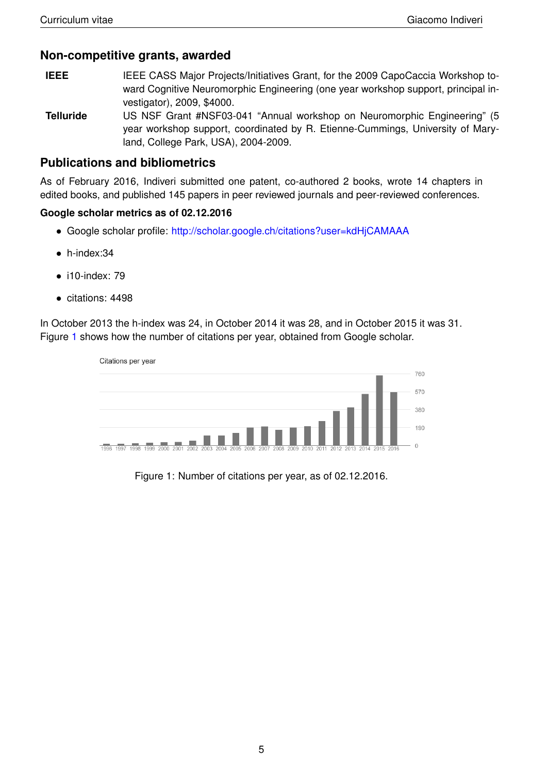#### **Non-competitive grants, awarded**

- **IEEE** IEEE CASS Major Projects/Initiatives Grant, for the 2009 CapoCaccia Workshop toward Cognitive Neuromorphic Engineering (one year workshop support, principal investigator), 2009, \$4000.
- **Telluride** US NSF Grant #NSF03-041 "Annual workshop on Neuromorphic Engineering" (5 year workshop support, coordinated by R. Etienne-Cummings, University of Maryland, College Park, USA), 2004-2009.

#### **Publications and bibliometrics**

As of February 2016, Indiveri submitted one patent, co-authored 2 books, wrote 14 chapters in edited books, and published 145 papers in peer reviewed journals and peer-reviewed conferences.

#### **Google scholar metrics as of 02.12.2016**

- Google scholar profile: <http://scholar.google.ch/citations?user=kdHjCAMAAA>
- h-index:34
- i10-index: 79
- citations: 4498

In October 2013 the h-index was 24, in October 2014 it was 28, and in October 2015 it was 31. Figure [1](#page-4-0) shows how the number of citations per year, obtained from Google scholar.



<span id="page-4-0"></span>Figure 1: Number of citations per year, as of 02.12.2016.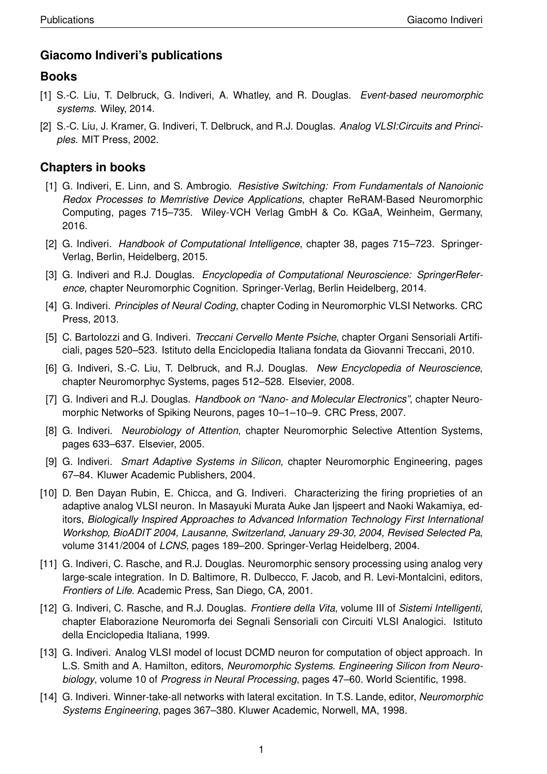### **Giacomo Indiveri's publications**

### **Books**

- [1] S.-C. Liu, T. Delbruck, G. Indiveri, A. Whatley, and R. Douglas. *Event-based neuromorphic systems*. Wiley, 2014.
- [2] S.-C. Liu, J. Kramer, G. Indiveri, T. Delbruck, and R.J. Douglas. *Analog VLSI:Circuits and Principles*. MIT Press, 2002.

### **Chapters in books**

- [1] G. Indiveri, E. Linn, and S. Ambrogio. *Resistive Switching: From Fundamentals of Nanoionic Redox Processes to Memristive Device Applications*, chapter ReRAM-Based Neuromorphic Computing, pages 715–735. Wiley-VCH Verlag GmbH & Co. KGaA, Weinheim, Germany, 2016.
- [2] G. Indiveri. *Handbook of Computational Intelligence*, chapter 38, pages 715–723. Springer-Verlag, Berlin, Heidelberg, 2015.
- [3] G. Indiveri and R.J. Douglas. *Encyclopedia of Computational Neuroscience: SpringerReference*, chapter Neuromorphic Cognition. Springer-Verlag, Berlin Heidelberg, 2014.
- [4] G. Indiveri. *Principles of Neural Coding*, chapter Coding in Neuromorphic VLSI Networks. CRC Press, 2013.
- [5] C. Bartolozzi and G. Indiveri. *Treccani Cervello Mente Psiche*, chapter Organi Sensoriali Artificiali, pages 520–523. Istituto della Enciclopedia Italiana fondata da Giovanni Treccani, 2010.
- [6] G. Indiveri, S.-C. Liu, T. Delbruck, and R.J. Douglas. *New Encyclopedia of Neuroscience*, chapter Neuromorphyc Systems, pages 512–528. Elsevier, 2008.
- [7] G. Indiveri and R.J. Douglas. *Handbook on "Nano- and Molecular Electronics"*, chapter Neuromorphic Networks of Spiking Neurons, pages 10–1–10–9. CRC Press, 2007.
- [8] G. Indiveri. *Neurobiology of Attention*, chapter Neuromorphic Selective Attention Systems, pages 633–637. Elsevier, 2005.
- [9] G. Indiveri. *Smart Adaptive Systems in Silicon*, chapter Neuromorphic Engineering, pages 67–84. Kluwer Academic Publishers, 2004.
- [10] D. Ben Dayan Rubin, E. Chicca, and G. Indiveri. Characterizing the firing proprieties of an adaptive analog VLSI neuron. In Masayuki Murata Auke Jan Ijspeert and Naoki Wakamiya, editors, *Biologically Inspired Approaches to Advanced Information Technology First International Workshop, BioADIT 2004, Lausanne, Switzerland, January 29-30, 2004, Revised Selected Pa*, volume 3141/2004 of *LCNS*, pages 189–200. Springer-Verlag Heidelberg, 2004.
- [11] G. Indiveri, C. Rasche, and R.J. Douglas. Neuromorphic sensory processing using analog very large-scale integration. In D. Baltimore, R. Dulbecco, F. Jacob, and R. Levi-Montalcini, editors, *Frontiers of Life*. Academic Press, San Diego, CA, 2001.
- [12] G. Indiveri, C. Rasche, and R.J. Douglas. *Frontiere della Vita*, volume III of *Sistemi Intelligenti*, chapter Elaborazione Neuromorfa dei Segnali Sensoriali con Circuiti VLSI Analogici. Istituto della Enciclopedia Italiana, 1999.
- [13] G. Indiveri. Analog VLSI model of locust DCMD neuron for computation of object approach. In L.S. Smith and A. Hamilton, editors, *Neuromorphic Systems. Engineering Silicon from Neurobiology*, volume 10 of *Progress in Neural Processing*, pages 47–60. World Scientific, 1998.
- [14] G. Indiveri. Winner-take-all networks with lateral excitation. In T.S. Lande, editor, *Neuromorphic Systems Engineering*, pages 367–380. Kluwer Academic, Norwell, MA, 1998.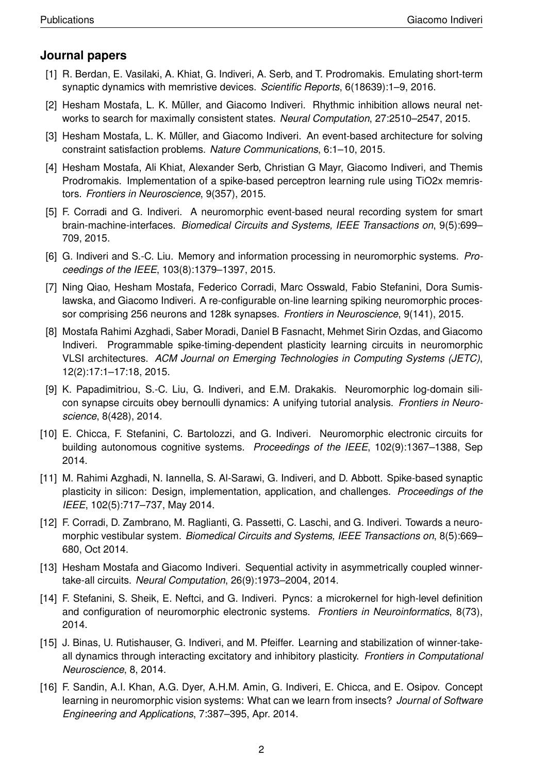### **Journal papers**

- [1] R. Berdan, E. Vasilaki, A. Khiat, G. Indiveri, A. Serb, and T. Prodromakis. Emulating short-term synaptic dynamics with memristive devices. *Scientific Reports*, 6(18639):1–9, 2016.
- [2] Hesham Mostafa, L. K. Müller, and Giacomo Indiveri. Rhythmic inhibition allows neural networks to search for maximally consistent states. *Neural Computation*, 27:2510–2547, 2015.
- [3] Hesham Mostafa, L. K. Müller, and Giacomo Indiveri. An event-based architecture for solving constraint satisfaction problems. *Nature Communications*, 6:1–10, 2015.
- [4] Hesham Mostafa, Ali Khiat, Alexander Serb, Christian G Mayr, Giacomo Indiveri, and Themis Prodromakis. Implementation of a spike-based perceptron learning rule using TiO2x memristors. *Frontiers in Neuroscience*, 9(357), 2015.
- [5] F. Corradi and G. Indiveri. A neuromorphic event-based neural recording system for smart brain-machine-interfaces. *Biomedical Circuits and Systems, IEEE Transactions on*, 9(5):699– 709, 2015.
- [6] G. Indiveri and S.-C. Liu. Memory and information processing in neuromorphic systems. *Proceedings of the IEEE*, 103(8):1379–1397, 2015.
- [7] Ning Qiao, Hesham Mostafa, Federico Corradi, Marc Osswald, Fabio Stefanini, Dora Sumislawska, and Giacomo Indiveri. A re-configurable on-line learning spiking neuromorphic processor comprising 256 neurons and 128k synapses. *Frontiers in Neuroscience*, 9(141), 2015.
- [8] Mostafa Rahimi Azghadi, Saber Moradi, Daniel B Fasnacht, Mehmet Sirin Ozdas, and Giacomo Indiveri. Programmable spike-timing-dependent plasticity learning circuits in neuromorphic VLSI architectures. *ACM Journal on Emerging Technologies in Computing Systems (JETC)*, 12(2):17:1–17:18, 2015.
- [9] K. Papadimitriou, S.-C. Liu, G. Indiveri, and E.M. Drakakis. Neuromorphic log-domain silicon synapse circuits obey bernoulli dynamics: A unifying tutorial analysis. *Frontiers in Neuroscience*, 8(428), 2014.
- [10] E. Chicca, F. Stefanini, C. Bartolozzi, and G. Indiveri. Neuromorphic electronic circuits for building autonomous cognitive systems. *Proceedings of the IEEE*, 102(9):1367–1388, Sep 2014.
- [11] M. Rahimi Azghadi, N. Iannella, S. Al-Sarawi, G. Indiveri, and D. Abbott. Spike-based synaptic plasticity in silicon: Design, implementation, application, and challenges. *Proceedings of the IEEE*, 102(5):717–737, May 2014.
- [12] F. Corradi, D. Zambrano, M. Raglianti, G. Passetti, C. Laschi, and G. Indiveri. Towards a neuromorphic vestibular system. *Biomedical Circuits and Systems, IEEE Transactions on*, 8(5):669– 680, Oct 2014.
- [13] Hesham Mostafa and Giacomo Indiveri. Sequential activity in asymmetrically coupled winnertake-all circuits. *Neural Computation*, 26(9):1973–2004, 2014.
- [14] F. Stefanini, S. Sheik, E. Neftci, and G. Indiveri. Pyncs: a microkernel for high-level definition and configuration of neuromorphic electronic systems. *Frontiers in Neuroinformatics*, 8(73), 2014.
- [15] J. Binas, U. Rutishauser, G. Indiveri, and M. Pfeiffer. Learning and stabilization of winner-takeall dynamics through interacting excitatory and inhibitory plasticity. *Frontiers in Computational Neuroscience*, 8, 2014.
- [16] F. Sandin, A.I. Khan, A.G. Dyer, A.H.M. Amin, G. Indiveri, E. Chicca, and E. Osipov. Concept learning in neuromorphic vision systems: What can we learn from insects? *Journal of Software Engineering and Applications*, 7:387–395, Apr. 2014.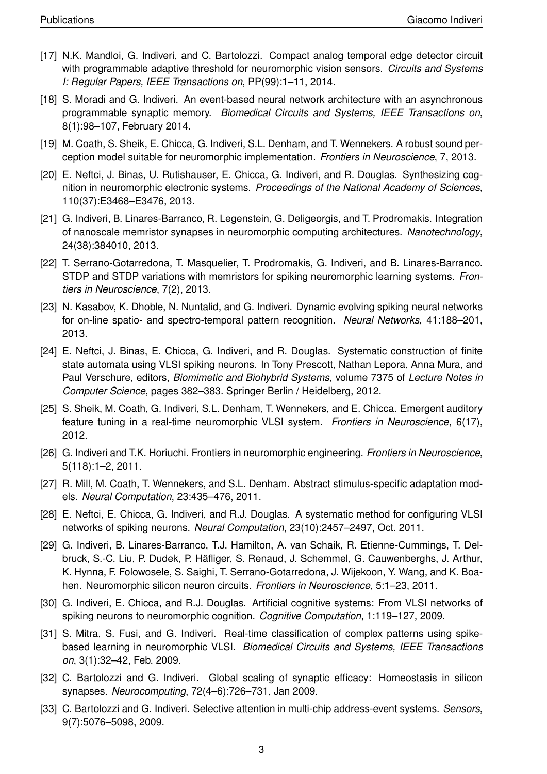- [17] N.K. Mandloi, G. Indiveri, and C. Bartolozzi. Compact analog temporal edge detector circuit with programmable adaptive threshold for neuromorphic vision sensors. *Circuits and Systems I: Regular Papers, IEEE Transactions on*, PP(99):1–11, 2014.
- [18] S. Moradi and G. Indiveri. An event-based neural network architecture with an asynchronous programmable synaptic memory. *Biomedical Circuits and Systems, IEEE Transactions on*, 8(1):98–107, February 2014.
- [19] M. Coath, S. Sheik, E. Chicca, G. Indiveri, S.L. Denham, and T. Wennekers. A robust sound perception model suitable for neuromorphic implementation. *Frontiers in Neuroscience*, 7, 2013.
- [20] E. Neftci, J. Binas, U. Rutishauser, E. Chicca, G. Indiveri, and R. Douglas. Synthesizing cognition in neuromorphic electronic systems. *Proceedings of the National Academy of Sciences*, 110(37):E3468–E3476, 2013.
- [21] G. Indiveri, B. Linares-Barranco, R. Legenstein, G. Deligeorgis, and T. Prodromakis. Integration of nanoscale memristor synapses in neuromorphic computing architectures. *Nanotechnology*, 24(38):384010, 2013.
- [22] T. Serrano-Gotarredona, T. Masquelier, T. Prodromakis, G. Indiveri, and B. Linares-Barranco. STDP and STDP variations with memristors for spiking neuromorphic learning systems. *Frontiers in Neuroscience*, 7(2), 2013.
- [23] N. Kasabov, K. Dhoble, N. Nuntalid, and G. Indiveri. Dynamic evolving spiking neural networks for on-line spatio- and spectro-temporal pattern recognition. *Neural Networks*, 41:188–201, 2013.
- [24] E. Neftci, J. Binas, E. Chicca, G. Indiveri, and R. Douglas. Systematic construction of finite state automata using VLSI spiking neurons. In Tony Prescott, Nathan Lepora, Anna Mura, and Paul Verschure, editors, *Biomimetic and Biohybrid Systems*, volume 7375 of *Lecture Notes in Computer Science*, pages 382–383. Springer Berlin / Heidelberg, 2012.
- [25] S. Sheik, M. Coath, G. Indiveri, S.L. Denham, T. Wennekers, and E. Chicca. Emergent auditory feature tuning in a real-time neuromorphic VLSI system. *Frontiers in Neuroscience*, 6(17), 2012.
- [26] G. Indiveri and T.K. Horiuchi. Frontiers in neuromorphic engineering. *Frontiers in Neuroscience*, 5(118):1–2, 2011.
- [27] R. Mill, M. Coath, T. Wennekers, and S.L. Denham. Abstract stimulus-specific adaptation models. *Neural Computation*, 23:435–476, 2011.
- [28] E. Neftci, E. Chicca, G. Indiveri, and R.J. Douglas. A systematic method for configuring VLSI networks of spiking neurons. *Neural Computation*, 23(10):2457–2497, Oct. 2011.
- [29] G. Indiveri, B. Linares-Barranco, T.J. Hamilton, A. van Schaik, R. Etienne-Cummings, T. Delbruck, S.-C. Liu, P. Dudek, P. Hafliger, S. Renaud, J. Schemmel, G. Cauwenberghs, J. Arthur, ¨ K. Hynna, F. Folowosele, S. Saighi, T. Serrano-Gotarredona, J. Wijekoon, Y. Wang, and K. Boahen. Neuromorphic silicon neuron circuits. *Frontiers in Neuroscience*, 5:1–23, 2011.
- [30] G. Indiveri, E. Chicca, and R.J. Douglas. Artificial cognitive systems: From VLSI networks of spiking neurons to neuromorphic cognition. *Cognitive Computation*, 1:119–127, 2009.
- [31] S. Mitra, S. Fusi, and G. Indiveri. Real-time classification of complex patterns using spikebased learning in neuromorphic VLSI. *Biomedical Circuits and Systems, IEEE Transactions on*, 3(1):32–42, Feb. 2009.
- [32] C. Bartolozzi and G. Indiveri. Global scaling of synaptic efficacy: Homeostasis in silicon synapses. *Neurocomputing*, 72(4–6):726–731, Jan 2009.
- [33] C. Bartolozzi and G. Indiveri. Selective attention in multi-chip address-event systems. *Sensors*, 9(7):5076–5098, 2009.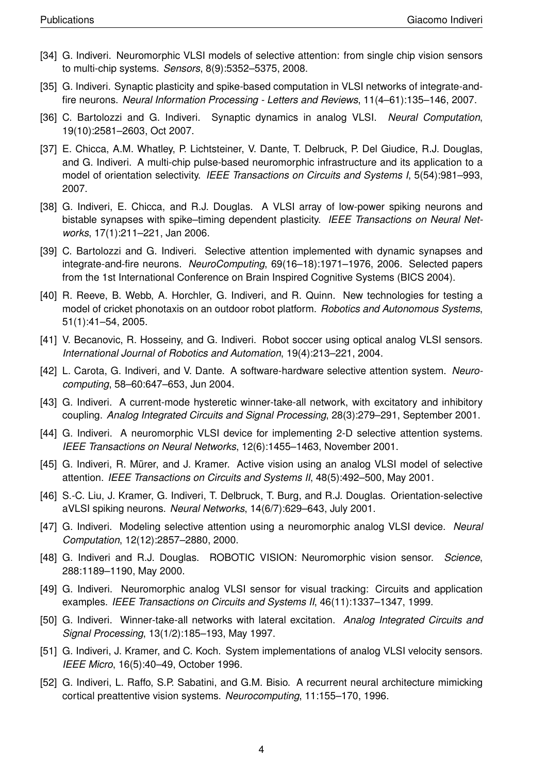- [34] G. Indiveri. Neuromorphic VLSI models of selective attention: from single chip vision sensors to multi-chip systems. *Sensors*, 8(9):5352–5375, 2008.
- [35] G. Indiveri. Synaptic plasticity and spike-based computation in VLSI networks of integrate-andfire neurons. *Neural Information Processing - Letters and Reviews*, 11(4–61):135–146, 2007.
- [36] C. Bartolozzi and G. Indiveri. Synaptic dynamics in analog VLSI. *Neural Computation*, 19(10):2581–2603, Oct 2007.
- [37] E. Chicca, A.M. Whatley, P. Lichtsteiner, V. Dante, T. Delbruck, P. Del Giudice, R.J. Douglas, and G. Indiveri. A multi-chip pulse-based neuromorphic infrastructure and its application to a model of orientation selectivity. *IEEE Transactions on Circuits and Systems I*, 5(54):981–993, 2007.
- [38] G. Indiveri, E. Chicca, and R.J. Douglas. A VLSI array of low-power spiking neurons and bistable synapses with spike–timing dependent plasticity. *IEEE Transactions on Neural Networks*, 17(1):211–221, Jan 2006.
- [39] C. Bartolozzi and G. Indiveri. Selective attention implemented with dynamic synapses and integrate-and-fire neurons. *NeuroComputing*, 69(16–18):1971–1976, 2006. Selected papers from the 1st International Conference on Brain Inspired Cognitive Systems (BICS 2004).
- [40] R. Reeve, B. Webb, A. Horchler, G. Indiveri, and R. Quinn. New technologies for testing a model of cricket phonotaxis on an outdoor robot platform. *Robotics and Autonomous Systems*, 51(1):41–54, 2005.
- [41] V. Becanovic, R. Hosseiny, and G. Indiveri. Robot soccer using optical analog VLSI sensors. *International Journal of Robotics and Automation*, 19(4):213–221, 2004.
- [42] L. Carota, G. Indiveri, and V. Dante. A software-hardware selective attention system. *Neurocomputing*, 58–60:647–653, Jun 2004.
- [43] G. Indiveri. A current-mode hysteretic winner-take-all network, with excitatory and inhibitory coupling. *Analog Integrated Circuits and Signal Processing*, 28(3):279–291, September 2001.
- [44] G. Indiveri. A neuromorphic VLSI device for implementing 2-D selective attention systems. *IEEE Transactions on Neural Networks*, 12(6):1455–1463, November 2001.
- [45] G. Indiveri, R. Mürer, and J. Kramer. Active vision using an analog VLSI model of selective attention. *IEEE Transactions on Circuits and Systems II*, 48(5):492–500, May 2001.
- [46] S.-C. Liu, J. Kramer, G. Indiveri, T. Delbruck, T. Burg, and R.J. Douglas. Orientation-selective aVLSI spiking neurons. *Neural Networks*, 14(6/7):629–643, July 2001.
- [47] G. Indiveri. Modeling selective attention using a neuromorphic analog VLSI device. *Neural Computation*, 12(12):2857–2880, 2000.
- [48] G. Indiveri and R.J. Douglas. ROBOTIC VISION: Neuromorphic vision sensor. *Science*, 288:1189–1190, May 2000.
- [49] G. Indiveri. Neuromorphic analog VLSI sensor for visual tracking: Circuits and application examples. *IEEE Transactions on Circuits and Systems II*, 46(11):1337–1347, 1999.
- [50] G. Indiveri. Winner-take-all networks with lateral excitation. *Analog Integrated Circuits and Signal Processing*, 13(1/2):185–193, May 1997.
- [51] G. Indiveri, J. Kramer, and C. Koch. System implementations of analog VLSI velocity sensors. *IEEE Micro*, 16(5):40–49, October 1996.
- [52] G. Indiveri, L. Raffo, S.P. Sabatini, and G.M. Bisio. A recurrent neural architecture mimicking cortical preattentive vision systems. *Neurocomputing*, 11:155–170, 1996.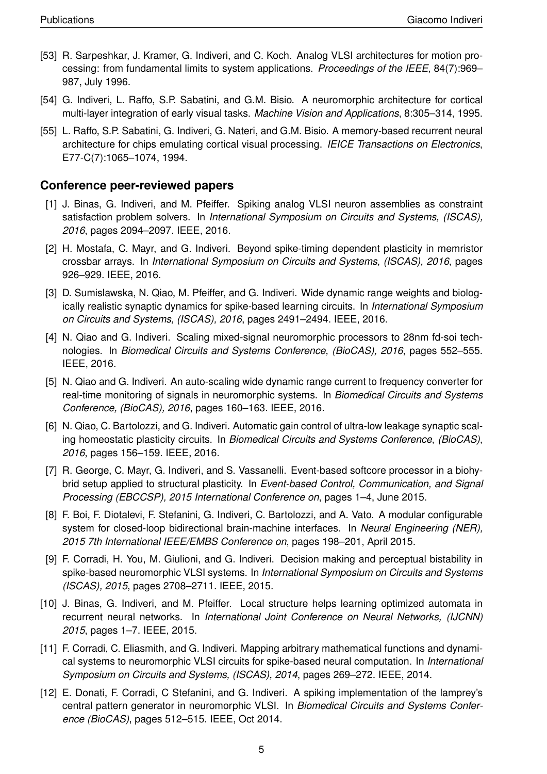- [53] R. Sarpeshkar, J. Kramer, G. Indiveri, and C. Koch. Analog VLSI architectures for motion processing: from fundamental limits to system applications. *Proceedings of the IEEE*, 84(7):969– 987, July 1996.
- [54] G. Indiveri, L. Raffo, S.P. Sabatini, and G.M. Bisio. A neuromorphic architecture for cortical multi-layer integration of early visual tasks. *Machine Vision and Applications*, 8:305–314, 1995.
- [55] L. Raffo, S.P. Sabatini, G. Indiveri, G. Nateri, and G.M. Bisio. A memory-based recurrent neural architecture for chips emulating cortical visual processing. *IEICE Transactions on Electronics*, E77-C(7):1065–1074, 1994.

#### **Conference peer-reviewed papers**

- [1] J. Binas, G. Indiveri, and M. Pfeiffer. Spiking analog VLSI neuron assemblies as constraint satisfaction problem solvers. In *International Symposium on Circuits and Systems, (ISCAS), 2016*, pages 2094–2097. IEEE, 2016.
- [2] H. Mostafa, C. Mayr, and G. Indiveri. Beyond spike-timing dependent plasticity in memristor crossbar arrays. In *International Symposium on Circuits and Systems, (ISCAS), 2016*, pages 926–929. IEEE, 2016.
- [3] D. Sumislawska, N. Qiao, M. Pfeiffer, and G. Indiveri. Wide dynamic range weights and biologically realistic synaptic dynamics for spike-based learning circuits. In *International Symposium on Circuits and Systems, (ISCAS), 2016*, pages 2491–2494. IEEE, 2016.
- [4] N. Qiao and G. Indiveri. Scaling mixed-signal neuromorphic processors to 28nm fd-soi technologies. In *Biomedical Circuits and Systems Conference, (BioCAS), 2016*, pages 552–555. IEEE, 2016.
- [5] N. Qiao and G. Indiveri. An auto-scaling wide dynamic range current to frequency converter for real-time monitoring of signals in neuromorphic systems. In *Biomedical Circuits and Systems Conference, (BioCAS), 2016*, pages 160–163. IEEE, 2016.
- [6] N. Qiao, C. Bartolozzi, and G. Indiveri. Automatic gain control of ultra-low leakage synaptic scaling homeostatic plasticity circuits. In *Biomedical Circuits and Systems Conference, (BioCAS), 2016*, pages 156–159. IEEE, 2016.
- [7] R. George, C. Mayr, G. Indiveri, and S. Vassanelli. Event-based softcore processor in a biohybrid setup applied to structural plasticity. In *Event-based Control, Communication, and Signal Processing (EBCCSP), 2015 International Conference on*, pages 1–4, June 2015.
- [8] F. Boi, F. Diotalevi, F. Stefanini, G. Indiveri, C. Bartolozzi, and A. Vato. A modular configurable system for closed-loop bidirectional brain-machine interfaces. In *Neural Engineering (NER), 2015 7th International IEEE/EMBS Conference on*, pages 198–201, April 2015.
- [9] F. Corradi, H. You, M. Giulioni, and G. Indiveri. Decision making and perceptual bistability in spike-based neuromorphic VLSI systems. In *International Symposium on Circuits and Systems (ISCAS), 2015*, pages 2708–2711. IEEE, 2015.
- [10] J. Binas, G. Indiveri, and M. Pfeiffer. Local structure helps learning optimized automata in recurrent neural networks. In *International Joint Conference on Neural Networks, (IJCNN) 2015*, pages 1–7. IEEE, 2015.
- [11] F. Corradi, C. Eliasmith, and G. Indiveri. Mapping arbitrary mathematical functions and dynamical systems to neuromorphic VLSI circuits for spike-based neural computation. In *International Symposium on Circuits and Systems, (ISCAS), 2014*, pages 269–272. IEEE, 2014.
- [12] E. Donati, F. Corradi, C Stefanini, and G. Indiveri. A spiking implementation of the lamprey's central pattern generator in neuromorphic VLSI. In *Biomedical Circuits and Systems Conference (BioCAS)*, pages 512–515. IEEE, Oct 2014.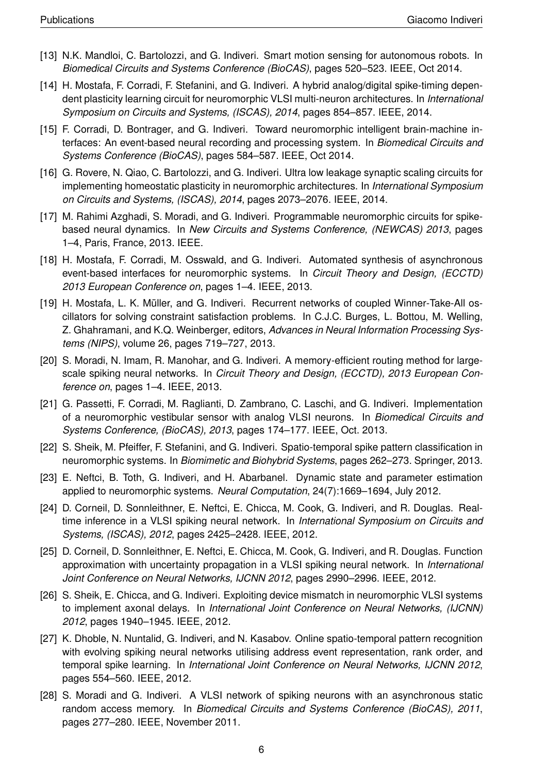- [13] N.K. Mandloi, C. Bartolozzi, and G. Indiveri. Smart motion sensing for autonomous robots. In *Biomedical Circuits and Systems Conference (BioCAS)*, pages 520–523. IEEE, Oct 2014.
- [14] H. Mostafa, F. Corradi, F. Stefanini, and G. Indiveri. A hybrid analog/digital spike-timing dependent plasticity learning circuit for neuromorphic VLSI multi-neuron architectures. In *International Symposium on Circuits and Systems, (ISCAS), 2014*, pages 854–857. IEEE, 2014.
- [15] F. Corradi, D. Bontrager, and G. Indiveri. Toward neuromorphic intelligent brain-machine interfaces: An event-based neural recording and processing system. In *Biomedical Circuits and Systems Conference (BioCAS)*, pages 584–587. IEEE, Oct 2014.
- [16] G. Rovere, N. Qiao, C. Bartolozzi, and G. Indiveri. Ultra low leakage synaptic scaling circuits for implementing homeostatic plasticity in neuromorphic architectures. In *International Symposium on Circuits and Systems, (ISCAS), 2014*, pages 2073–2076. IEEE, 2014.
- [17] M. Rahimi Azghadi, S. Moradi, and G. Indiveri. Programmable neuromorphic circuits for spikebased neural dynamics. In *New Circuits and Systems Conference, (NEWCAS) 2013*, pages 1–4, Paris, France, 2013. IEEE.
- [18] H. Mostafa, F. Corradi, M. Osswald, and G. Indiveri. Automated synthesis of asynchronous event-based interfaces for neuromorphic systems. In *Circuit Theory and Design, (ECCTD) 2013 European Conference on*, pages 1–4. IEEE, 2013.
- [19] H. Mostafa, L. K. Müller, and G. Indiveri. Recurrent networks of coupled Winner-Take-All oscillators for solving constraint satisfaction problems. In C.J.C. Burges, L. Bottou, M. Welling, Z. Ghahramani, and K.Q. Weinberger, editors, *Advances in Neural Information Processing Systems (NIPS)*, volume 26, pages 719–727, 2013.
- [20] S. Moradi, N. Imam, R. Manohar, and G. Indiveri. A memory-efficient routing method for largescale spiking neural networks. In *Circuit Theory and Design, (ECCTD), 2013 European Conference on*, pages 1–4. IEEE, 2013.
- [21] G. Passetti, F. Corradi, M. Raglianti, D. Zambrano, C. Laschi, and G. Indiveri. Implementation of a neuromorphic vestibular sensor with analog VLSI neurons. In *Biomedical Circuits and Systems Conference, (BioCAS), 2013*, pages 174–177. IEEE, Oct. 2013.
- [22] S. Sheik, M. Pfeiffer, F. Stefanini, and G. Indiveri. Spatio-temporal spike pattern classification in neuromorphic systems. In *Biomimetic and Biohybrid Systems*, pages 262–273. Springer, 2013.
- [23] E. Neftci, B. Toth, G. Indiveri, and H. Abarbanel. Dynamic state and parameter estimation applied to neuromorphic systems. *Neural Computation*, 24(7):1669–1694, July 2012.
- [24] D. Corneil, D. Sonnleithner, E. Neftci, E. Chicca, M. Cook, G. Indiveri, and R. Douglas. Realtime inference in a VLSI spiking neural network. In *International Symposium on Circuits and Systems, (ISCAS), 2012*, pages 2425–2428. IEEE, 2012.
- [25] D. Corneil, D. Sonnleithner, E. Neftci, E. Chicca, M. Cook, G. Indiveri, and R. Douglas. Function approximation with uncertainty propagation in a VLSI spiking neural network. In *International Joint Conference on Neural Networks, IJCNN 2012*, pages 2990–2996. IEEE, 2012.
- [26] S. Sheik, E. Chicca, and G. Indiveri. Exploiting device mismatch in neuromorphic VLSI systems to implement axonal delays. In *International Joint Conference on Neural Networks, (IJCNN) 2012*, pages 1940–1945. IEEE, 2012.
- [27] K. Dhoble, N. Nuntalid, G. Indiveri, and N. Kasabov. Online spatio-temporal pattern recognition with evolving spiking neural networks utilising address event representation, rank order, and temporal spike learning. In *International Joint Conference on Neural Networks, IJCNN 2012*, pages 554–560. IEEE, 2012.
- [28] S. Moradi and G. Indiveri. A VLSI network of spiking neurons with an asynchronous static random access memory. In *Biomedical Circuits and Systems Conference (BioCAS), 2011*, pages 277–280. IEEE, November 2011.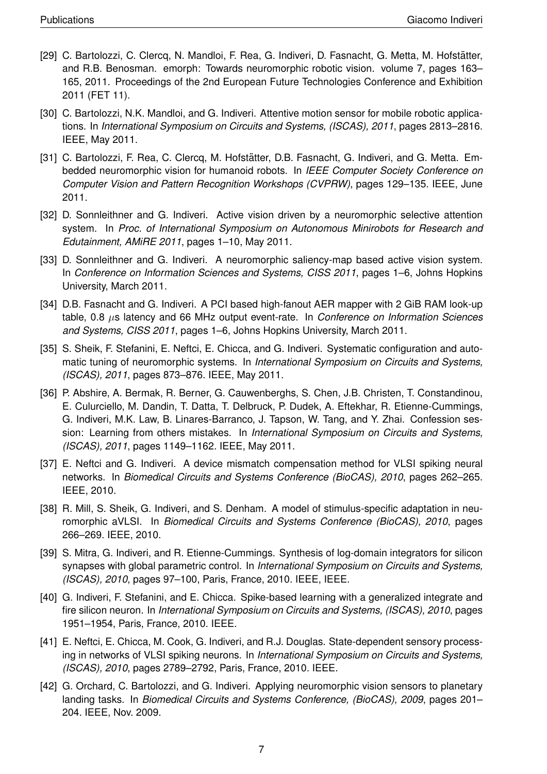- [29] C. Bartolozzi, C. Clercq, N. Mandloi, F. Rea, G. Indiveri, D. Fasnacht, G. Metta, M. Hofstätter, and R.B. Benosman. emorph: Towards neuromorphic robotic vision. volume 7, pages 163– 165, 2011. Proceedings of the 2nd European Future Technologies Conference and Exhibition 2011 (FET 11).
- [30] C. Bartolozzi, N.K. Mandloi, and G. Indiveri. Attentive motion sensor for mobile robotic applications. In *International Symposium on Circuits and Systems, (ISCAS), 2011*, pages 2813–2816. IEEE, May 2011.
- [31] C. Bartolozzi, F. Rea, C. Clercq, M. Hofstätter, D.B. Fasnacht, G. Indiveri, and G. Metta. Embedded neuromorphic vision for humanoid robots. In *IEEE Computer Society Conference on Computer Vision and Pattern Recognition Workshops (CVPRW)*, pages 129–135. IEEE, June 2011.
- [32] D. Sonnleithner and G. Indiveri. Active vision driven by a neuromorphic selective attention system. In *Proc. of International Symposium on Autonomous Minirobots for Research and Edutainment, AMiRE 2011*, pages 1–10, May 2011.
- [33] D. Sonnleithner and G. Indiveri. A neuromorphic saliency-map based active vision system. In *Conference on Information Sciences and Systems, CISS 2011*, pages 1–6, Johns Hopkins University, March 2011.
- [34] D.B. Fasnacht and G. Indiveri. A PCI based high-fanout AER mapper with 2 GiB RAM look-up table, 0.8 µs latency and 66 MHz output event-rate. In *Conference on Information Sciences and Systems, CISS 2011*, pages 1–6, Johns Hopkins University, March 2011.
- [35] S. Sheik, F. Stefanini, E. Neftci, E. Chicca, and G. Indiveri. Systematic configuration and automatic tuning of neuromorphic systems. In *International Symposium on Circuits and Systems, (ISCAS), 2011*, pages 873–876. IEEE, May 2011.
- [36] P. Abshire, A. Bermak, R. Berner, G. Cauwenberghs, S. Chen, J.B. Christen, T. Constandinou, E. Culurciello, M. Dandin, T. Datta, T. Delbruck, P. Dudek, A. Eftekhar, R. Etienne-Cummings, G. Indiveri, M.K. Law, B. Linares-Barranco, J. Tapson, W. Tang, and Y. Zhai. Confession session: Learning from others mistakes. In *International Symposium on Circuits and Systems, (ISCAS), 2011*, pages 1149–1162. IEEE, May 2011.
- [37] E. Neftci and G. Indiveri. A device mismatch compensation method for VLSI spiking neural networks. In *Biomedical Circuits and Systems Conference (BioCAS), 2010*, pages 262–265. IEEE, 2010.
- [38] R. Mill, S. Sheik, G. Indiveri, and S. Denham. A model of stimulus-specific adaptation in neuromorphic aVLSI. In *Biomedical Circuits and Systems Conference (BioCAS), 2010*, pages 266–269. IEEE, 2010.
- [39] S. Mitra, G. Indiveri, and R. Etienne-Cummings. Synthesis of log-domain integrators for silicon synapses with global parametric control. In *International Symposium on Circuits and Systems, (ISCAS), 2010*, pages 97–100, Paris, France, 2010. IEEE, IEEE.
- [40] G. Indiveri, F. Stefanini, and E. Chicca. Spike-based learning with a generalized integrate and fire silicon neuron. In *International Symposium on Circuits and Systems, (ISCAS), 2010*, pages 1951–1954, Paris, France, 2010. IEEE.
- [41] E. Neftci, E. Chicca, M. Cook, G. Indiveri, and R.J. Douglas. State-dependent sensory processing in networks of VLSI spiking neurons. In *International Symposium on Circuits and Systems, (ISCAS), 2010*, pages 2789–2792, Paris, France, 2010. IEEE.
- [42] G. Orchard, C. Bartolozzi, and G. Indiveri. Applying neuromorphic vision sensors to planetary landing tasks. In *Biomedical Circuits and Systems Conference, (BioCAS), 2009*, pages 201– 204. IEEE, Nov. 2009.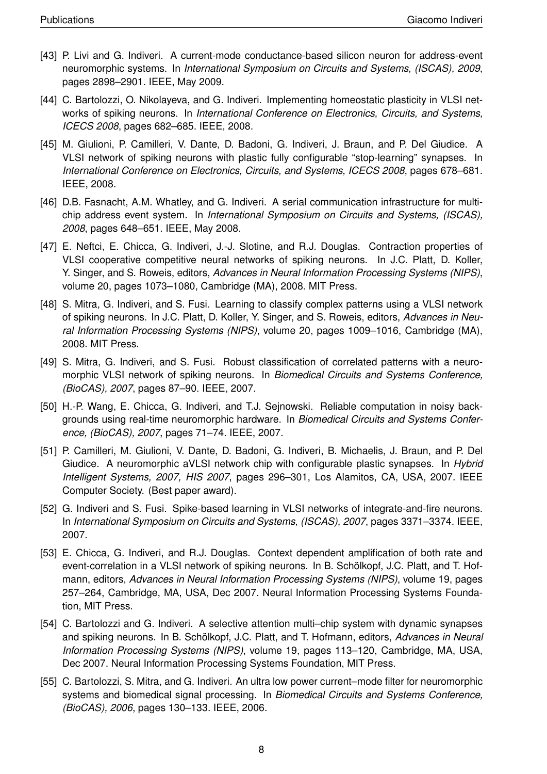- [43] P. Livi and G. Indiveri. A current-mode conductance-based silicon neuron for address-event neuromorphic systems. In *International Symposium on Circuits and Systems, (ISCAS), 2009*, pages 2898–2901. IEEE, May 2009.
- [44] C. Bartolozzi, O. Nikolayeva, and G. Indiveri. Implementing homeostatic plasticity in VLSI networks of spiking neurons. In *International Conference on Electronics, Circuits, and Systems, ICECS 2008*, pages 682–685. IEEE, 2008.
- [45] M. Giulioni, P. Camilleri, V. Dante, D. Badoni, G. Indiveri, J. Braun, and P. Del Giudice. A VLSI network of spiking neurons with plastic fully configurable "stop-learning" synapses. In *International Conference on Electronics, Circuits, and Systems, ICECS 2008*, pages 678–681. IEEE, 2008.
- [46] D.B. Fasnacht, A.M. Whatley, and G. Indiveri. A serial communication infrastructure for multichip address event system. In *International Symposium on Circuits and Systems, (ISCAS), 2008*, pages 648–651. IEEE, May 2008.
- [47] E. Neftci, E. Chicca, G. Indiveri, J.-J. Slotine, and R.J. Douglas. Contraction properties of VLSI cooperative competitive neural networks of spiking neurons. In J.C. Platt, D. Koller, Y. Singer, and S. Roweis, editors, *Advances in Neural Information Processing Systems (NIPS)*, volume 20, pages 1073–1080, Cambridge (MA), 2008. MIT Press.
- [48] S. Mitra, G. Indiveri, and S. Fusi. Learning to classify complex patterns using a VLSI network of spiking neurons. In J.C. Platt, D. Koller, Y. Singer, and S. Roweis, editors, *Advances in Neural Information Processing Systems (NIPS)*, volume 20, pages 1009–1016, Cambridge (MA), 2008. MIT Press.
- [49] S. Mitra, G. Indiveri, and S. Fusi. Robust classification of correlated patterns with a neuromorphic VLSI network of spiking neurons. In *Biomedical Circuits and Systems Conference, (BioCAS), 2007*, pages 87–90. IEEE, 2007.
- [50] H.-P. Wang, E. Chicca, G. Indiveri, and T.J. Sejnowski. Reliable computation in noisy backgrounds using real-time neuromorphic hardware. In *Biomedical Circuits and Systems Conference, (BioCAS), 2007*, pages 71–74. IEEE, 2007.
- [51] P. Camilleri, M. Giulioni, V. Dante, D. Badoni, G. Indiveri, B. Michaelis, J. Braun, and P. Del Giudice. A neuromorphic aVLSI network chip with configurable plastic synapses. In *Hybrid Intelligent Systems, 2007, HIS 2007*, pages 296–301, Los Alamitos, CA, USA, 2007. IEEE Computer Society. (Best paper award).
- [52] G. Indiveri and S. Fusi. Spike-based learning in VLSI networks of integrate-and-fire neurons. In *International Symposium on Circuits and Systems, (ISCAS), 2007*, pages 3371–3374. IEEE, 2007.
- [53] E. Chicca, G. Indiveri, and R.J. Douglas. Context dependent amplification of both rate and event-correlation in a VLSI network of spiking neurons. In B. Schölkopf, J.C. Platt, and T. Hofmann, editors, *Advances in Neural Information Processing Systems (NIPS)*, volume 19, pages 257–264, Cambridge, MA, USA, Dec 2007. Neural Information Processing Systems Foundation, MIT Press.
- [54] C. Bartolozzi and G. Indiveri. A selective attention multi–chip system with dynamic synapses and spiking neurons. In B. Schölkopf, J.C. Platt, and T. Hofmann, editors, Advances in Neural *Information Processing Systems (NIPS)*, volume 19, pages 113–120, Cambridge, MA, USA, Dec 2007. Neural Information Processing Systems Foundation, MIT Press.
- [55] C. Bartolozzi, S. Mitra, and G. Indiveri. An ultra low power current–mode filter for neuromorphic systems and biomedical signal processing. In *Biomedical Circuits and Systems Conference, (BioCAS), 2006*, pages 130–133. IEEE, 2006.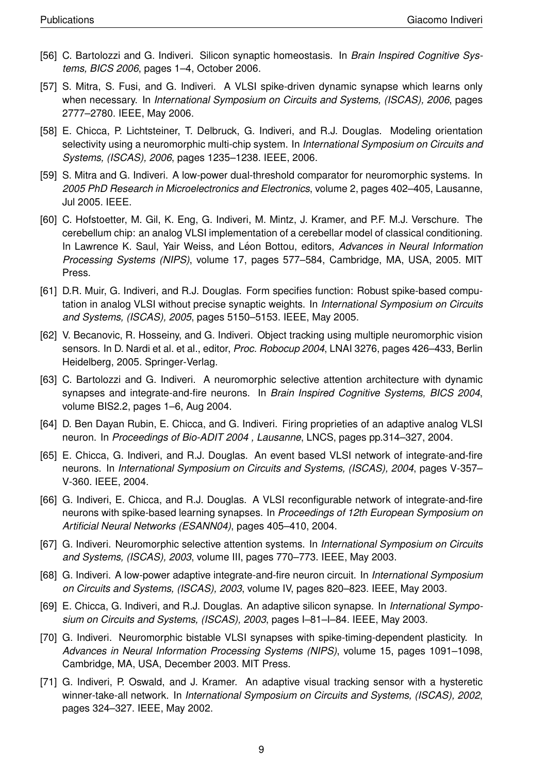- [56] C. Bartolozzi and G. Indiveri. Silicon synaptic homeostasis. In *Brain Inspired Cognitive Systems, BICS 2006*, pages 1–4, October 2006.
- [57] S. Mitra, S. Fusi, and G. Indiveri. A VLSI spike-driven dynamic synapse which learns only when necessary. In *International Symposium on Circuits and Systems, (ISCAS), 2006*, pages 2777–2780. IEEE, May 2006.
- [58] E. Chicca, P. Lichtsteiner, T. Delbruck, G. Indiveri, and R.J. Douglas. Modeling orientation selectivity using a neuromorphic multi-chip system. In *International Symposium on Circuits and Systems, (ISCAS), 2006*, pages 1235–1238. IEEE, 2006.
- [59] S. Mitra and G. Indiveri. A low-power dual-threshold comparator for neuromorphic systems. In *2005 PhD Research in Microelectronics and Electronics*, volume 2, pages 402–405, Lausanne, Jul 2005. IEEE.
- [60] C. Hofstoetter, M. Gil, K. Eng, G. Indiveri, M. Mintz, J. Kramer, and P.F. M.J. Verschure. The cerebellum chip: an analog VLSI implementation of a cerebellar model of classical conditioning. In Lawrence K. Saul, Yair Weiss, and Léon Bottou, editors, *Advances in Neural Information Processing Systems (NIPS)*, volume 17, pages 577–584, Cambridge, MA, USA, 2005. MIT Press.
- [61] D.R. Muir, G. Indiveri, and R.J. Douglas. Form specifies function: Robust spike-based computation in analog VLSI without precise synaptic weights. In *International Symposium on Circuits and Systems, (ISCAS), 2005*, pages 5150–5153. IEEE, May 2005.
- [62] V. Becanovic, R. Hosseiny, and G. Indiveri. Object tracking using multiple neuromorphic vision sensors. In D. Nardi et al. et al., editor, *Proc. Robocup 2004*, LNAI 3276, pages 426–433, Berlin Heidelberg, 2005. Springer-Verlag.
- [63] C. Bartolozzi and G. Indiveri. A neuromorphic selective attention architecture with dynamic synapses and integrate-and-fire neurons. In *Brain Inspired Cognitive Systems, BICS 2004*, volume BIS2.2, pages 1–6, Aug 2004.
- [64] D. Ben Dayan Rubin, E. Chicca, and G. Indiveri. Firing proprieties of an adaptive analog VLSI neuron. In *Proceedings of Bio-ADIT 2004 , Lausanne*, LNCS, pages pp.314–327, 2004.
- [65] E. Chicca, G. Indiveri, and R.J. Douglas. An event based VLSI network of integrate-and-fire neurons. In *International Symposium on Circuits and Systems, (ISCAS), 2004*, pages V-357– V-360. IEEE, 2004.
- [66] G. Indiveri, E. Chicca, and R.J. Douglas. A VLSI reconfigurable network of integrate-and-fire neurons with spike-based learning synapses. In *Proceedings of 12th European Symposium on Artificial Neural Networks (ESANN04)*, pages 405–410, 2004.
- [67] G. Indiveri. Neuromorphic selective attention systems. In *International Symposium on Circuits and Systems, (ISCAS), 2003*, volume III, pages 770–773. IEEE, May 2003.
- [68] G. Indiveri. A low-power adaptive integrate-and-fire neuron circuit. In *International Symposium on Circuits and Systems, (ISCAS), 2003*, volume IV, pages 820–823. IEEE, May 2003.
- [69] E. Chicca, G. Indiveri, and R.J. Douglas. An adaptive silicon synapse. In *International Symposium on Circuits and Systems, (ISCAS), 2003*, pages I–81–I–84. IEEE, May 2003.
- [70] G. Indiveri. Neuromorphic bistable VLSI synapses with spike-timing-dependent plasticity. In *Advances in Neural Information Processing Systems (NIPS)*, volume 15, pages 1091–1098, Cambridge, MA, USA, December 2003. MIT Press.
- [71] G. Indiveri, P. Oswald, and J. Kramer. An adaptive visual tracking sensor with a hysteretic winner-take-all network. In *International Symposium on Circuits and Systems, (ISCAS), 2002*, pages 324–327. IEEE, May 2002.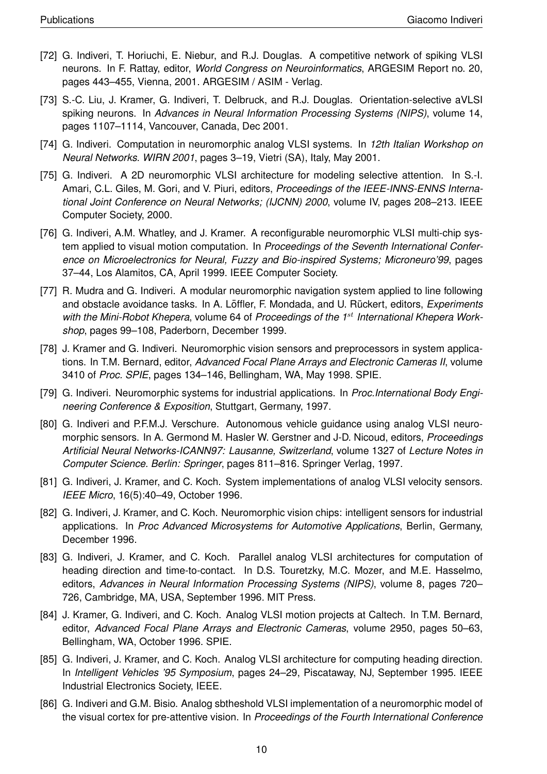- [72] G. Indiveri, T. Horiuchi, E. Niebur, and R.J. Douglas. A competitive network of spiking VLSI neurons. In F. Rattay, editor, *World Congress on Neuroinformatics*, ARGESIM Report no. 20, pages 443–455, Vienna, 2001. ARGESIM / ASIM - Verlag.
- [73] S.-C. Liu, J. Kramer, G. Indiveri, T. Delbruck, and R.J. Douglas. Orientation-selective aVLSI spiking neurons. In *Advances in Neural Information Processing Systems (NIPS)*, volume 14, pages 1107–1114, Vancouver, Canada, Dec 2001.
- [74] G. Indiveri. Computation in neuromorphic analog VLSI systems. In *12th Italian Workshop on Neural Networks. WIRN 2001*, pages 3–19, Vietri (SA), Italy, May 2001.
- [75] G. Indiveri. A 2D neuromorphic VLSI architecture for modeling selective attention. In S.-I. Amari, C.L. Giles, M. Gori, and V. Piuri, editors, *Proceedings of the IEEE-INNS-ENNS International Joint Conference on Neural Networks; (IJCNN) 2000*, volume IV, pages 208–213. IEEE Computer Society, 2000.
- [76] G. Indiveri, A.M. Whatley, and J. Kramer. A reconfigurable neuromorphic VLSI multi-chip system applied to visual motion computation. In *Proceedings of the Seventh International Conference on Microelectronics for Neural, Fuzzy and Bio-inspired Systems; Microneuro'99*, pages 37–44, Los Alamitos, CA, April 1999. IEEE Computer Society.
- [77] R. Mudra and G. Indiveri. A modular neuromorphic navigation system applied to line following and obstacle avoidance tasks. In A. Löffler, F. Mondada, and U. Rückert, editors, *Experiments* with the Mini-Robot Khepera, volume 64 of *Proceedings of the 1<sup>st</sup> International Khepera Workshop*, pages 99–108, Paderborn, December 1999.
- [78] J. Kramer and G. Indiveri. Neuromorphic vision sensors and preprocessors in system applications. In T.M. Bernard, editor, *Advanced Focal Plane Arrays and Electronic Cameras II*, volume 3410 of *Proc. SPIE*, pages 134–146, Bellingham, WA, May 1998. SPIE.
- [79] G. Indiveri. Neuromorphic systems for industrial applications. In *Proc.International Body Engineering Conference & Exposition*, Stuttgart, Germany, 1997.
- [80] G. Indiveri and P.F.M.J. Verschure. Autonomous vehicle guidance using analog VLSI neuromorphic sensors. In A. Germond M. Hasler W. Gerstner and J-D. Nicoud, editors, *Proceedings Artificial Neural Networks-ICANN97: Lausanne, Switzerland*, volume 1327 of *Lecture Notes in Computer Science. Berlin: Springer*, pages 811–816. Springer Verlag, 1997.
- [81] G. Indiveri, J. Kramer, and C. Koch. System implementations of analog VLSI velocity sensors. *IEEE Micro*, 16(5):40–49, October 1996.
- [82] G. Indiveri, J. Kramer, and C. Koch. Neuromorphic vision chips: intelligent sensors for industrial applications. In *Proc Advanced Microsystems for Automotive Applications*, Berlin, Germany, December 1996.
- [83] G. Indiveri, J. Kramer, and C. Koch. Parallel analog VLSI architectures for computation of heading direction and time-to-contact. In D.S. Touretzky, M.C. Mozer, and M.E. Hasselmo, editors, *Advances in Neural Information Processing Systems (NIPS)*, volume 8, pages 720– 726, Cambridge, MA, USA, September 1996. MIT Press.
- [84] J. Kramer, G. Indiveri, and C. Koch. Analog VLSI motion projects at Caltech. In T.M. Bernard, editor, *Advanced Focal Plane Arrays and Electronic Cameras*, volume 2950, pages 50–63, Bellingham, WA, October 1996. SPIE.
- [85] G. Indiveri, J. Kramer, and C. Koch. Analog VLSI architecture for computing heading direction. In *Intelligent Vehicles '95 Symposium*, pages 24–29, Piscataway, NJ, September 1995. IEEE Industrial Electronics Society, IEEE.
- [86] G. Indiveri and G.M. Bisio. Analog sbtheshold VLSI implementation of a neuromorphic model of the visual cortex for pre-attentive vision. In *Proceedings of the Fourth International Conference*